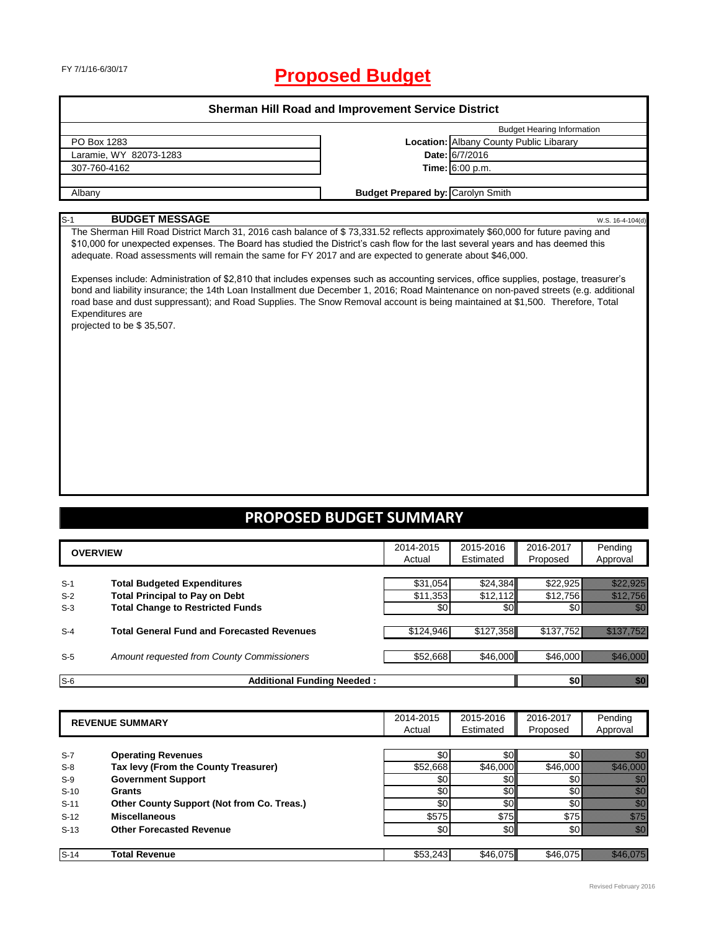# FY 7/1/16-6/30/17 **Proposed Budget**

### **Sherman Hill Road and Improvement Service District**

|                        | <b>Budget Hearing Information</b>              |
|------------------------|------------------------------------------------|
| PO Box 1283            | <b>Location:</b> Albany County Public Libarary |
| Laramie, WY 82073-1283 | Date: 6/7/2016                                 |
| 307-760-4162           | Time: 6:00 p.m.                                |
|                        |                                                |
| Albanv                 | <b>Budget Prepared by: Carolyn Smith</b>       |

### S-1 **BUDGET MESSAGE** W.S. 16-4-104(d)

The Sherman Hill Road District March 31, 2016 cash balance of \$ 73,331.52 reflects approximately \$60,000 for future paving and \$10,000 for unexpected expenses. The Board has studied the District's cash flow for the last several years and has deemed this adequate. Road assessments will remain the same for FY 2017 and are expected to generate about \$46,000.

Expenses include: Administration of \$2,810 that includes expenses such as accounting services, office supplies, postage, treasurer's bond and liability insurance; the 14th Loan Installment due December 1, 2016; Road Maintenance on non-paved streets (e.g. additional road base and dust suppressant); and Road Supplies. The Snow Removal account is being maintained at \$1,500. Therefore, Total Expenditures are

projected to be \$ 35,507.

### **PROPOSED BUDGET SUMMARY**

|                | <b>OVERVIEW</b>                                                             |                      | 2015-2016<br>Estimated | 2016-2017<br>Proposed | Pending<br>Approval      |
|----------------|-----------------------------------------------------------------------------|----------------------|------------------------|-----------------------|--------------------------|
| $S-1$<br>$S-2$ | <b>Total Budgeted Expenditures</b><br><b>Total Principal to Pay on Debt</b> | \$31,054<br>\$11,353 | \$24,384<br>\$12,112   | \$22,925<br>\$12,756  |                          |
| $S-3$          | <b>Total Change to Restricted Funds</b>                                     | \$0                  | \$0 <sub>1</sub>       | \$0                   |                          |
| $S-4$          | <b>Total General Fund and Forecasted Revenues</b>                           | \$124,946            | \$127,358              | \$137,752             | <u> Martin Martin Sa</u> |
| $S-5$          | Amount requested from County Commissioners                                  | \$52,668             | \$46,000               | \$46,000              | <u> Killedi (Store)</u>  |
| $S-6$          | <b>Additional Funding Needed:</b>                                           |                      |                        | \$0                   | en en de film<br>Maximal |

|        | <b>REVENUE SUMMARY</b>                     |          | 2015-2016<br>Estimated | 2016-2017<br>Proposed | Pending<br>Approval                                                                                                                                                                                                              |
|--------|--------------------------------------------|----------|------------------------|-----------------------|----------------------------------------------------------------------------------------------------------------------------------------------------------------------------------------------------------------------------------|
|        |                                            |          |                        |                       |                                                                                                                                                                                                                                  |
| $S-7$  | <b>Operating Revenues</b>                  | \$0      | \$0                    | \$0                   |                                                                                                                                                                                                                                  |
| $S-8$  | Tax levy (From the County Treasurer)       | \$52,668 | \$46,000               | \$46,000              |                                                                                                                                                                                                                                  |
| $S-9$  | <b>Government Support</b>                  | \$0      | \$0                    | \$0                   |                                                                                                                                                                                                                                  |
| $S-10$ | Grants                                     | \$0      | \$0                    | \$0                   | en de la familie de la familie de la familie de la familie de la familie de la familie de la familie de la fam<br>Constituit de la familie de la familie de la familie de la familie de la familie de la familie de la familie d |
| $S-11$ | Other County Support (Not from Co. Treas.) | \$0      | \$0                    | \$0                   | ,,                                                                                                                                                                                                                               |
| $S-12$ | <b>Miscellaneous</b>                       | \$575    | \$75                   | \$75                  | i Mille                                                                                                                                                                                                                          |
| $S-13$ | <b>Other Forecasted Revenue</b>            | \$0      | \$0 <sub>1</sub>       | \$0                   | <u>filipin</u>                                                                                                                                                                                                                   |
|        |                                            |          |                        |                       |                                                                                                                                                                                                                                  |
| $S-14$ | Total Revenue                              | \$53,243 | \$46.075               | \$46.075              |                                                                                                                                                                                                                                  |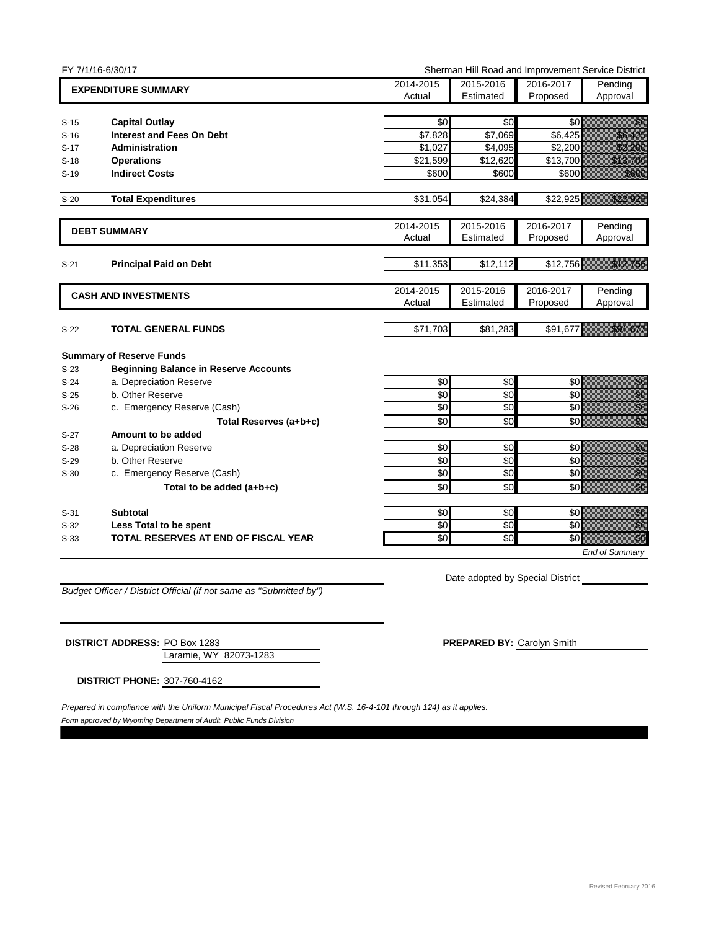|                  | FY 7/1/16-6/30/17                                         | Sherman Hill Road and Improvement Service District |                    |                    |                                                                                                                                                                                                                                 |
|------------------|-----------------------------------------------------------|----------------------------------------------------|--------------------|--------------------|---------------------------------------------------------------------------------------------------------------------------------------------------------------------------------------------------------------------------------|
|                  | <b>EXPENDITURE SUMMARY</b>                                | 2014-2015                                          | 2015-2016          | 2016-2017          | Pending                                                                                                                                                                                                                         |
|                  |                                                           | Actual                                             | Estimated          | Proposed           | Approval                                                                                                                                                                                                                        |
|                  |                                                           |                                                    |                    |                    |                                                                                                                                                                                                                                 |
| $S-15$           | <b>Capital Outlay</b>                                     | \$0                                                | \$0                | \$0                | en de la familie de la familie de la familie de la familie de la familie de la familie de la familie de la fam<br>Estat de la familie de la familie de la familie de la familie de la familie de la familie de la familie de la |
| $S-16$<br>$S-17$ | <b>Interest and Fees On Debt</b><br><b>Administration</b> | \$7,828<br>\$1,027                                 | \$7,069<br>\$4,095 | \$6,425<br>\$2,200 | <u>i karatanan di kacamatan di sebagai di kacamatan di kacamatan di kacamatan di kacamatan di kacamatan di kacam</u><br><u>Tillin Sa</u>                                                                                        |
| $S-18$           | <b>Operations</b>                                         | \$21,599                                           | \$12,620           | \$13,700           | <u>elitevat ko</u>                                                                                                                                                                                                              |
| $S-19$           | <b>Indirect Costs</b>                                     | \$600                                              | \$600              | \$600              | <u>tionalisest</u>                                                                                                                                                                                                              |
|                  |                                                           |                                                    |                    |                    |                                                                                                                                                                                                                                 |
| $S-20$           | <b>Total Expenditures</b>                                 | \$31,054                                           | \$24,384           | \$22,925           | <u>e de la construcción de la construcción de la construcción de la construcción de la construcción de la constru</u>                                                                                                           |
|                  | <b>DEBT SUMMARY</b>                                       | 2014-2015                                          | 2015-2016          | 2016-2017          | Pending                                                                                                                                                                                                                         |
|                  |                                                           | Actual                                             | Estimated          | Proposed           | Approval                                                                                                                                                                                                                        |
| $S-21$           | <b>Principal Paid on Debt</b>                             | \$11,353                                           | \$12,112           | \$12,756           | <u>e de la construcción de la construcción de la construcción de la construcción de la construcción de la constru</u>                                                                                                           |
|                  |                                                           | 2014-2015                                          | 2015-2016          | 2016-2017          | Pending                                                                                                                                                                                                                         |
|                  | <b>CASH AND INVESTMENTS</b>                               | Actual                                             | Estimated          | Proposed           | Approval                                                                                                                                                                                                                        |
| $S-22$           | TOTAL GENERAL FUNDS                                       | \$71,703                                           | \$81,283           | \$91,677           | an dhe an t-aiste                                                                                                                                                                                                               |
|                  |                                                           |                                                    |                    |                    |                                                                                                                                                                                                                                 |
|                  | <b>Summary of Reserve Funds</b>                           |                                                    |                    |                    |                                                                                                                                                                                                                                 |
| $S-23$           | <b>Beginning Balance in Reserve Accounts</b>              |                                                    |                    |                    |                                                                                                                                                                                                                                 |
| $S-24$           | a. Depreciation Reserve                                   | \$0                                                | \$0                | \$0                | e de la familie de la familie de la familie de la familie de la familie de la familie de la familie de la fami<br>Altre de la familie de la familie de la familie de la familie de la familie de la familie de la familie de la |
| $S-25$           | b. Other Reserve                                          | \$0                                                | \$0                | \$0                |                                                                                                                                                                                                                                 |
| $S-26$           | c. Emergency Reserve (Cash)                               | \$0                                                | \$0                | \$0                | en allegar<br>Albania<br>Albania                                                                                                                                                                                                |
|                  | Total Reserves (a+b+c)                                    | \$0                                                | \$0                | \$0                |                                                                                                                                                                                                                                 |
| $S-27$           | Amount to be added                                        |                                                    |                    |                    |                                                                                                                                                                                                                                 |
| $S-28$           | a. Depreciation Reserve                                   | \$0                                                | \$0                | \$0                | elli<br>Viited                                                                                                                                                                                                                  |
| $S-29$           | b. Other Reserve                                          | $\sqrt{6}$                                         | \$0                | \$0                | en en de la familie de la familie de la familie de la familie de la familie de la familie de la familie de la<br>Constitution de la familie de la familie de la familie de la familie de la familie de la familie de la familie |
| $S-30$           | c. Emergency Reserve (Cash)                               | \$0                                                | \$0                | \$0                | e de la composición de la composición de la composición de la composición de la composición de la composición<br>Altre de la composición de la composición de la composición de la composición de la composición de la composic |
|                  | Total to be added (a+b+c)                                 | $\sqrt{6}$                                         | \$0                | \$0                |                                                                                                                                                                                                                                 |
| $S-31$           | <b>Subtotal</b>                                           | \$0                                                | \$0                | \$0                | enne<br>Maria                                                                                                                                                                                                                   |
| $S-32$           | Less Total to be spent                                    | $\sqrt{6}$                                         | \$0                | \$0                | en de la filosofia<br>Altres de la filosofia                                                                                                                                                                                    |
| $S-33$           | <b>TOTAL RESERVES AT END OF FISCAL YEAR</b>               | \$0                                                | \$0                | \$0                | en en de la familie de la familie de la familie de la familie de la familie de la familie de la familie de la<br>Constitution de la familie de la familie de la familie de la familie de la familie de la familie de la familie |
|                  |                                                           |                                                    |                    |                    | <b>End of Summary</b>                                                                                                                                                                                                           |

*Budget Officer / District Official (if not same as "Submitted by")*

Date adopted by Special District

Laramie, WY 82073-1283 **DISTRICT ADDRESS:** PO Box 1283 **PREPARED BY:** Carolyn Smith

**DISTRICT PHONE:** 307-760-4162

*Form approved by Wyoming Department of Audit, Public Funds Division Prepared in compliance with the Uniform Municipal Fiscal Procedures Act (W.S. 16-4-101 through 124) as it applies.*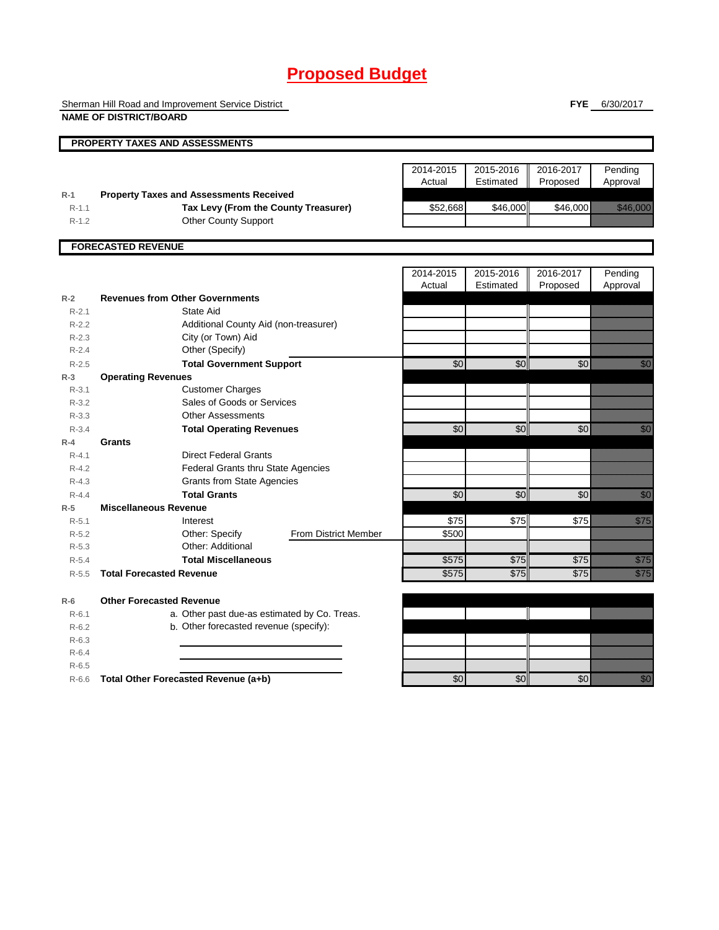## **Proposed Budget**

Sherman Hill Road and Improvement Service District

**NAME OF DISTRICT/BOARD**

**FYE** 6/30/2017

|           | <b>PROPERTY TAXES AND ASSESSMENTS</b>          |                             |                     |                        |                       |                                                                                                                                                                                                                                  |
|-----------|------------------------------------------------|-----------------------------|---------------------|------------------------|-----------------------|----------------------------------------------------------------------------------------------------------------------------------------------------------------------------------------------------------------------------------|
|           |                                                |                             |                     |                        |                       |                                                                                                                                                                                                                                  |
|           |                                                |                             | 2014-2015           | 2015-2016              | 2016-2017             | Pending                                                                                                                                                                                                                          |
|           |                                                |                             | Actual              | Estimated              | Proposed              | Approval                                                                                                                                                                                                                         |
| $R-1$     | <b>Property Taxes and Assessments Received</b> |                             |                     |                        |                       |                                                                                                                                                                                                                                  |
| $R - 1.1$ | Tax Levy (From the County Treasurer)           |                             | \$52,668            | \$46,000               | \$46,000              | <u> Martin Sara</u>                                                                                                                                                                                                              |
| $R-1.2$   | <b>Other County Support</b>                    |                             |                     |                        |                       |                                                                                                                                                                                                                                  |
|           |                                                |                             |                     |                        |                       |                                                                                                                                                                                                                                  |
|           | <b>FORECASTED REVENUE</b>                      |                             |                     |                        |                       |                                                                                                                                                                                                                                  |
|           |                                                |                             |                     |                        |                       |                                                                                                                                                                                                                                  |
|           |                                                |                             | 2014-2015<br>Actual | 2015-2016<br>Estimated | 2016-2017<br>Proposed | Pending                                                                                                                                                                                                                          |
| $R-2$     | <b>Revenues from Other Governments</b>         |                             |                     |                        |                       | Approval                                                                                                                                                                                                                         |
| $R - 2.1$ | State Aid                                      |                             |                     |                        |                       |                                                                                                                                                                                                                                  |
| $R-2.2$   | Additional County Aid (non-treasurer)          |                             |                     |                        |                       |                                                                                                                                                                                                                                  |
| $R - 2.3$ | City (or Town) Aid                             |                             |                     |                        |                       |                                                                                                                                                                                                                                  |
| $R - 2.4$ | Other (Specify)                                |                             |                     |                        |                       |                                                                                                                                                                                                                                  |
| $R-2.5$   | <b>Total Government Support</b>                |                             | $\overline{60}$     | \$0                    | $\overline{60}$       | <u>i Sa</u>                                                                                                                                                                                                                      |
| $R-3$     | <b>Operating Revenues</b>                      |                             |                     |                        |                       |                                                                                                                                                                                                                                  |
| $R - 3.1$ | <b>Customer Charges</b>                        |                             |                     |                        |                       |                                                                                                                                                                                                                                  |
| $R - 3.2$ | Sales of Goods or Services                     |                             |                     |                        |                       |                                                                                                                                                                                                                                  |
| $R - 3.3$ | <b>Other Assessments</b>                       |                             |                     |                        |                       |                                                                                                                                                                                                                                  |
| $R - 3.4$ | <b>Total Operating Revenues</b>                |                             | \$0                 | \$0                    | \$0                   | en de la familie de la familie de la familie de la familie de la familie de la familie de la familie de la fam<br>Constituit de la familie de la familie de la familie de la familie de la familie de la familie de la familie d |
| $R-4$     | <b>Grants</b>                                  |                             |                     |                        |                       |                                                                                                                                                                                                                                  |
| $R - 4.1$ | <b>Direct Federal Grants</b>                   |                             |                     |                        |                       |                                                                                                                                                                                                                                  |
| $R - 4.2$ | <b>Federal Grants thru State Agencies</b>      |                             |                     |                        |                       |                                                                                                                                                                                                                                  |
| $R - 4.3$ | <b>Grants from State Agencies</b>              |                             |                     |                        |                       |                                                                                                                                                                                                                                  |
| $R - 4.4$ | <b>Total Grants</b>                            |                             | \$0                 | \$0                    | \$0                   | en de la familie de la familie de la familie de la familie de la familie de la familie de la familie de la fam<br>Constituit de la familie de la familie de la familie de la familie de la familie de la familie de la familie d |
| $R-5$     | <b>Miscellaneous Revenue</b>                   |                             |                     |                        |                       |                                                                                                                                                                                                                                  |
| $R - 5.1$ | Interest                                       |                             | \$75                | \$75                   | \$75                  | <u>tionalist</u>                                                                                                                                                                                                                 |
| $R - 5.2$ | Other: Specify                                 | <b>From District Member</b> | \$500               |                        |                       |                                                                                                                                                                                                                                  |
| $R-5.3$   | Other: Additional                              |                             |                     |                        |                       |                                                                                                                                                                                                                                  |
| $R - 5.4$ | <b>Total Miscellaneous</b>                     |                             | \$575               | \$75                   | \$75                  | <u>ti k</u>                                                                                                                                                                                                                      |
| $R-5.5$   | <b>Total Forecasted Revenue</b>                |                             | \$575               | \$75                   | \$75                  | elling<br>Markov                                                                                                                                                                                                                 |
|           |                                                |                             |                     |                        |                       |                                                                                                                                                                                                                                  |
| $R-6$     | <b>Other Forecasted Revenue</b>                |                             |                     |                        |                       |                                                                                                                                                                                                                                  |
| $R - 6.1$ | a. Other past due-as estimated by Co. Treas.   |                             |                     |                        |                       |                                                                                                                                                                                                                                  |
| $R-6.2$   | b. Other forecasted revenue (specify):         |                             |                     |                        |                       |                                                                                                                                                                                                                                  |
| $R-6.3$   |                                                |                             |                     |                        |                       |                                                                                                                                                                                                                                  |
| $R-6.4$   |                                                |                             |                     |                        |                       |                                                                                                                                                                                                                                  |
| $R-6.5$   |                                                |                             |                     |                        |                       |                                                                                                                                                                                                                                  |
| $R-6.6$   | Total Other Forecasted Revenue (a+b)           |                             | \$0                 | \$0                    | \$0                   | en de la familie de la familie de la familie de la familie de la familie de la familie de la familie de la fam<br>Constitution de la familie de la familie de la familie de la familie de la familie de la familie de la familie |
|           |                                                |                             |                     |                        |                       |                                                                                                                                                                                                                                  |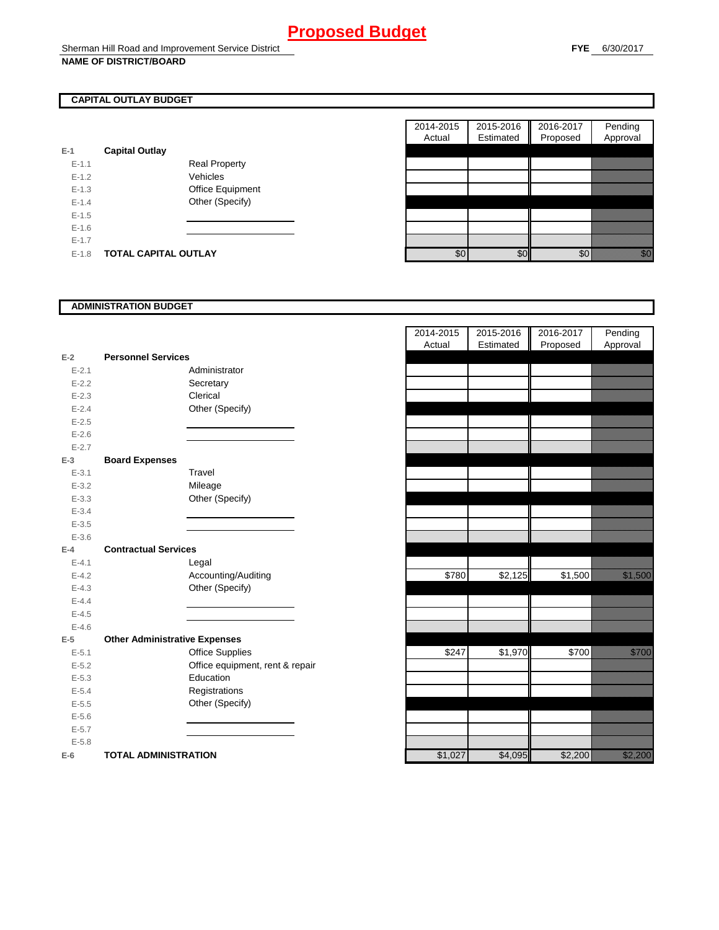### **CAPITAL OUTLAY BUDGET**

| $E-1$     | <b>Capital Outlay</b>       |                         |
|-----------|-----------------------------|-------------------------|
| $E - 1.1$ |                             | <b>Real Property</b>    |
| $F-12$    |                             | Vehicles                |
| $F-1.3$   |                             | <b>Office Equipment</b> |
| $F-14$    |                             | Other (Specify)         |
| $F-1.5$   |                             |                         |
| $F-16$    |                             |                         |
| $F-17$    |                             |                         |
| $F-1.8$   | <b>TOTAL CAPITAL OUTLAY</b> |                         |

| 2014-2015 | 2015-2016 | 2016-2017 | Pending  |
|-----------|-----------|-----------|----------|
| Actual    | Estimated | Proposed  | Approval |
|           |           |           |          |
|           |           |           |          |
|           |           |           |          |
|           |           |           |          |
|           |           |           |          |
|           |           |           |          |
|           |           |           |          |
|           |           |           |          |
|           |           |           |          |

### **ADMINISTRATION BUDGET**

| $E-2$     | <b>Personnel Services</b>            |                                 |  |  |
|-----------|--------------------------------------|---------------------------------|--|--|
| $E - 2.1$ |                                      | Administrator                   |  |  |
| $E - 2.2$ |                                      | Secretary                       |  |  |
| $E - 2.3$ |                                      | Clerical                        |  |  |
| $E - 2.4$ |                                      | Other (Specify)                 |  |  |
| $E - 2.5$ |                                      |                                 |  |  |
| $E - 2.6$ |                                      |                                 |  |  |
| $E - 2.7$ |                                      |                                 |  |  |
| $E-3$     | <b>Board Expenses</b>                |                                 |  |  |
| $E - 3.1$ |                                      | Travel                          |  |  |
| $E - 3.2$ |                                      | Mileage                         |  |  |
| $E - 3.3$ |                                      | Other (Specify)                 |  |  |
| $E - 3.4$ |                                      |                                 |  |  |
| $E - 3.5$ |                                      |                                 |  |  |
| $E - 3.6$ |                                      |                                 |  |  |
| $E-4$     | <b>Contractual Services</b>          |                                 |  |  |
| $E - 4.1$ |                                      | Legal                           |  |  |
| $E - 4.2$ |                                      | Accounting/Auditing             |  |  |
| $E - 4.3$ |                                      | Other (Specify)                 |  |  |
| $E - 4.4$ |                                      |                                 |  |  |
| $E - 4.5$ |                                      |                                 |  |  |
| $E - 4.6$ |                                      |                                 |  |  |
| $E-5$     | <b>Other Administrative Expenses</b> |                                 |  |  |
| $E - 5.1$ |                                      | <b>Office Supplies</b>          |  |  |
| $E - 5.2$ |                                      | Office equipment, rent & repair |  |  |
| $E - 5.3$ |                                      | Education                       |  |  |
| $E - 5.4$ |                                      | Registrations                   |  |  |
| $E - 5.5$ |                                      | Other (Specify)                 |  |  |
| $E - 5.6$ |                                      |                                 |  |  |
| $E - 5.7$ |                                      |                                 |  |  |
| $E - 5.8$ |                                      |                                 |  |  |
| $E-6$     | <b>TOTAL ADMINISTRATION</b>          |                                 |  |  |

|                          |                                      |                                 | 2014-2015 | 2015-2016        | 2016-2017 | Pending                                  |
|--------------------------|--------------------------------------|---------------------------------|-----------|------------------|-----------|------------------------------------------|
|                          |                                      |                                 | Actual    | Estimated        | Proposed  | Approval                                 |
| $\overline{\mathbf{r}}$  | <b>Personnel Services</b>            |                                 |           |                  |           |                                          |
| $E - 2.1$                |                                      | Administrator                   |           |                  |           |                                          |
| $E - 2.2$                |                                      | Secretary                       |           |                  |           |                                          |
| $E - 2.3$                |                                      | Clerical                        |           |                  |           |                                          |
| $E - 2.4$                |                                      | Other (Specify)                 |           |                  |           |                                          |
| $E - 2.5$                |                                      |                                 |           |                  |           |                                          |
| $E - 2.6$                |                                      |                                 |           |                  |           |                                          |
| $E-2.7$                  |                                      |                                 |           |                  |           |                                          |
| $\overline{\phantom{0}}$ | <b>Board Expenses</b>                |                                 |           |                  |           |                                          |
| $E - 3.1$                |                                      | Travel                          |           |                  |           |                                          |
| $E - 3.2$                |                                      | Mileage                         |           |                  |           |                                          |
| $E - 3.3$                |                                      | Other (Specify)                 |           |                  |           |                                          |
| $E - 3.4$                |                                      |                                 |           |                  |           |                                          |
| $E - 3.5$                |                                      |                                 |           |                  |           |                                          |
| $E - 3.6$                |                                      |                                 |           |                  |           |                                          |
| ļ.                       | <b>Contractual Services</b>          |                                 |           |                  |           |                                          |
| $E - 4.1$                |                                      | Legal                           |           |                  |           |                                          |
| $E - 4.2$                |                                      | Accounting/Auditing             |           | \$780<br>\$2,125 | \$1,500   | <u>tionalised</u>                        |
| $E - 4.3$                |                                      | Other (Specify)                 |           |                  |           |                                          |
| $E - 4.4$                |                                      |                                 |           |                  |           |                                          |
| $E-4.5$                  |                                      |                                 |           |                  |           |                                          |
| $E - 4.6$                |                                      |                                 |           |                  |           |                                          |
| $\overline{\phantom{a}}$ | <b>Other Administrative Expenses</b> |                                 |           |                  |           |                                          |
| $E - 5.1$                |                                      | Office Supplies                 |           | \$247<br>\$1,970 | \$700     | <u>till framförfattar i störfattar f</u> |
| $E - 5.2$                |                                      | Office equipment, rent & repair |           |                  |           |                                          |
| $E - 5.3$                |                                      | Education                       |           |                  |           |                                          |
| $E - 5.4$                |                                      | Registrations                   |           |                  |           |                                          |
| $E - 5.5$                |                                      | Other (Specify)                 |           |                  |           |                                          |
| $E - 5.6$                |                                      |                                 |           |                  |           |                                          |
| $E - 5.7$                |                                      |                                 |           |                  |           |                                          |
| $E - 5.8$                |                                      |                                 |           |                  |           |                                          |
| ì                        | <b>TOTAL ADMINISTRATION</b>          |                                 | \$1,027   | \$4,095          | \$2,200   | a a an am an t-                          |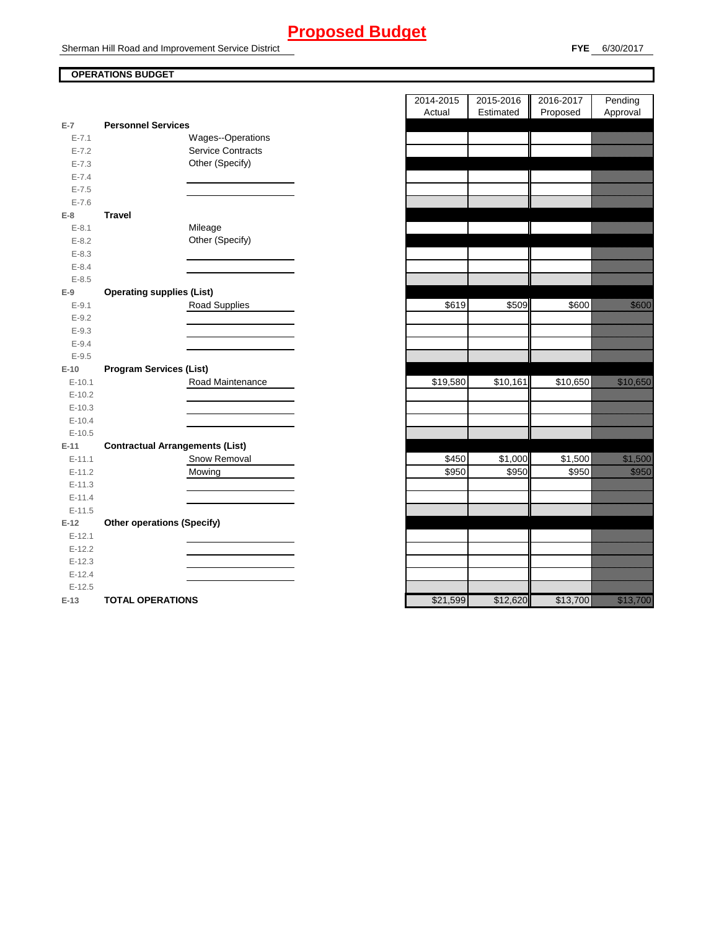### **Proposed Budget**

Sherman Hill Road and Improvement Service District

### **OPERATIONS BUDGET**

|           |                                        | nuuai    |          | Lournature   1 Toposur | nppioval                                                                                                                                                                                                                        |
|-----------|----------------------------------------|----------|----------|------------------------|---------------------------------------------------------------------------------------------------------------------------------------------------------------------------------------------------------------------------------|
| $E-7$     | <b>Personnel Services</b>              |          |          |                        |                                                                                                                                                                                                                                 |
| $E - 7.1$ | Wages--Operations                      |          |          |                        |                                                                                                                                                                                                                                 |
| $E - 7.2$ | <b>Service Contracts</b>               |          |          |                        |                                                                                                                                                                                                                                 |
| $E - 7.3$ | Other (Specify)                        |          |          |                        |                                                                                                                                                                                                                                 |
| $E - 7.4$ |                                        |          |          |                        |                                                                                                                                                                                                                                 |
| $E - 7.5$ |                                        |          |          |                        |                                                                                                                                                                                                                                 |
| $E - 7.6$ |                                        |          |          |                        |                                                                                                                                                                                                                                 |
| $E-8$     | <b>Travel</b>                          |          |          |                        |                                                                                                                                                                                                                                 |
| $E - 8.1$ | Mileage                                |          |          |                        |                                                                                                                                                                                                                                 |
| $E-8.2$   | Other (Specify)                        |          |          |                        |                                                                                                                                                                                                                                 |
| $E - 8.3$ |                                        |          |          |                        |                                                                                                                                                                                                                                 |
| $E - 8.4$ |                                        |          |          |                        |                                                                                                                                                                                                                                 |
| $E - 8.5$ |                                        |          |          |                        |                                                                                                                                                                                                                                 |
| $E-9$     | <b>Operating supplies (List)</b>       |          |          |                        |                                                                                                                                                                                                                                 |
| $E-9.1$   | Road Supplies                          | \$619    | \$509    | \$600                  | <u>i serialistika pa</u>                                                                                                                                                                                                        |
| $E-9.2$   |                                        |          |          |                        |                                                                                                                                                                                                                                 |
| $E-9.3$   |                                        |          |          |                        |                                                                                                                                                                                                                                 |
| $E-9.4$   |                                        |          |          |                        |                                                                                                                                                                                                                                 |
| $E-9.5$   |                                        |          |          |                        |                                                                                                                                                                                                                                 |
| $E-10$    | <b>Program Services (List)</b>         |          |          |                        |                                                                                                                                                                                                                                 |
| $E-10.1$  | Road Maintenance                       | \$19,580 | \$10,161 | \$10,650               | a katalunggal sa katalunggal sa katalunggal sa katalunggal sa katalunggal sa katalunggal sa katalunggal sa kat                                                                                                                  |
| $E-10.2$  |                                        |          |          |                        |                                                                                                                                                                                                                                 |
| $E-10.3$  |                                        |          |          |                        |                                                                                                                                                                                                                                 |
| $E-10.4$  |                                        |          |          |                        |                                                                                                                                                                                                                                 |
| $E-10.5$  |                                        |          |          |                        |                                                                                                                                                                                                                                 |
| $E-11$    | <b>Contractual Arrangements (List)</b> |          |          |                        |                                                                                                                                                                                                                                 |
| $E-11.1$  | Snow Removal                           | \$450    | \$1,000  | \$1,500                | <u>i ka</u>                                                                                                                                                                                                                     |
| $E-11.2$  | Mowing                                 | \$950    | \$950    | \$950                  | <u>ti ka</u>                                                                                                                                                                                                                    |
| $E-11.3$  |                                        |          |          |                        |                                                                                                                                                                                                                                 |
| $E-11.4$  |                                        |          |          |                        |                                                                                                                                                                                                                                 |
| $E-11.5$  |                                        |          |          |                        |                                                                                                                                                                                                                                 |
| $E-12$    | <b>Other operations (Specify)</b>      |          |          |                        |                                                                                                                                                                                                                                 |
| $E-12.1$  |                                        |          |          |                        |                                                                                                                                                                                                                                 |
| $E-12.2$  |                                        |          |          |                        |                                                                                                                                                                                                                                 |
| $E-12.3$  |                                        |          |          |                        |                                                                                                                                                                                                                                 |
| $E-12.4$  |                                        |          |          |                        |                                                                                                                                                                                                                                 |
| $E-12.5$  |                                        |          |          |                        |                                                                                                                                                                                                                                 |
| $E-13$    | <b>TOTAL OPERATIONS</b>                | \$21,599 | \$12,620 | \$13,700               | a katalunggal katalunggal katalunggal katalunggal katalunggal katalunggal katalunggal katalunggal katalunggal<br>Katalunggal katalunggal katalunggal katalunggal katalunggal katalunggal katalunggal katalunggal katalunggal ka |

|                             |                                                | 2014-2015 | 2015-2016 | 2016-2017 | Pending                                                |
|-----------------------------|------------------------------------------------|-----------|-----------|-----------|--------------------------------------------------------|
|                             |                                                | Actual    | Estimated | Proposed  | Approval                                               |
| $\overline{7}$<br>$E - 7.1$ | <b>Personnel Services</b><br>Wages--Operations |           |           |           |                                                        |
| $E - 7.2$                   | <b>Service Contracts</b>                       |           |           |           |                                                        |
| $E - 7.3$                   | Other (Specify)                                |           |           |           |                                                        |
| $E - 7.4$                   |                                                |           |           |           |                                                        |
| $E - 7.5$                   |                                                |           |           |           |                                                        |
| $E - 7.6$                   |                                                |           |           |           |                                                        |
| 8                           | <b>Travel</b>                                  |           |           |           |                                                        |
| $E-8.1$                     | Mileage                                        |           |           |           |                                                        |
| $E-8.2$                     | Other (Specify)                                |           |           |           |                                                        |
| $E-8.3$                     |                                                |           |           |           |                                                        |
| $E - 8.4$                   |                                                |           |           |           |                                                        |
| $E - 8.5$                   |                                                |           |           |           |                                                        |
| 9                           | <b>Operating supplies (List)</b>               |           |           |           |                                                        |
| $E-9.1$                     | Road Supplies                                  | \$619     | \$509     | \$600     | <u>tionalisest</u>                                     |
| $E-9.2$                     |                                                |           |           |           |                                                        |
| $E-9.3$                     |                                                |           |           |           |                                                        |
| $E-9.4$                     |                                                |           |           |           |                                                        |
| $E-9.5$                     |                                                |           |           |           |                                                        |
| 10 <sub>1</sub>             | <b>Program Services (List)</b>                 |           |           |           |                                                        |
| $E-10.1$                    | Road Maintenance                               | \$19,580  | \$10,161  | \$10,650  | a katika kalendari ya katika mwaka wa 1979.<br>Marejeo |
| $E-10.2$                    |                                                |           |           |           |                                                        |
| $E-10.3$                    |                                                |           |           |           |                                                        |
| $E-10.4$                    |                                                |           |           |           |                                                        |
| $E-10.5$                    |                                                |           |           |           |                                                        |
| $11 -$                      | <b>Contractual Arrangements (List)</b>         |           |           |           |                                                        |
| $E-11.1$                    | Snow Removal                                   | \$450     | \$1,000   | \$1,500   | <u> Karlin Sarajan (</u>                               |
| $E-11.2$                    | Mowing                                         | \$950     | \$950     | \$950     | <u>ti ka</u>                                           |
| $E-11.3$                    |                                                |           |           |           |                                                        |
| $E-11.4$                    |                                                |           |           |           |                                                        |
| $E-11.5$                    |                                                |           |           |           |                                                        |
| 12                          | <b>Other operations (Specify)</b>              |           |           |           |                                                        |
| $E-12.1$<br>$E-12.2$        |                                                |           |           |           |                                                        |
| $E-12.3$                    |                                                |           |           |           |                                                        |
| $E-12.4$                    |                                                |           |           |           |                                                        |
| $E-12.5$                    |                                                |           |           |           |                                                        |
| $42 -$                      | TOTAL ODED ATIONS                              | 221500    | 012.820   | 0.12,700  | <u>Martin Carl</u>                                     |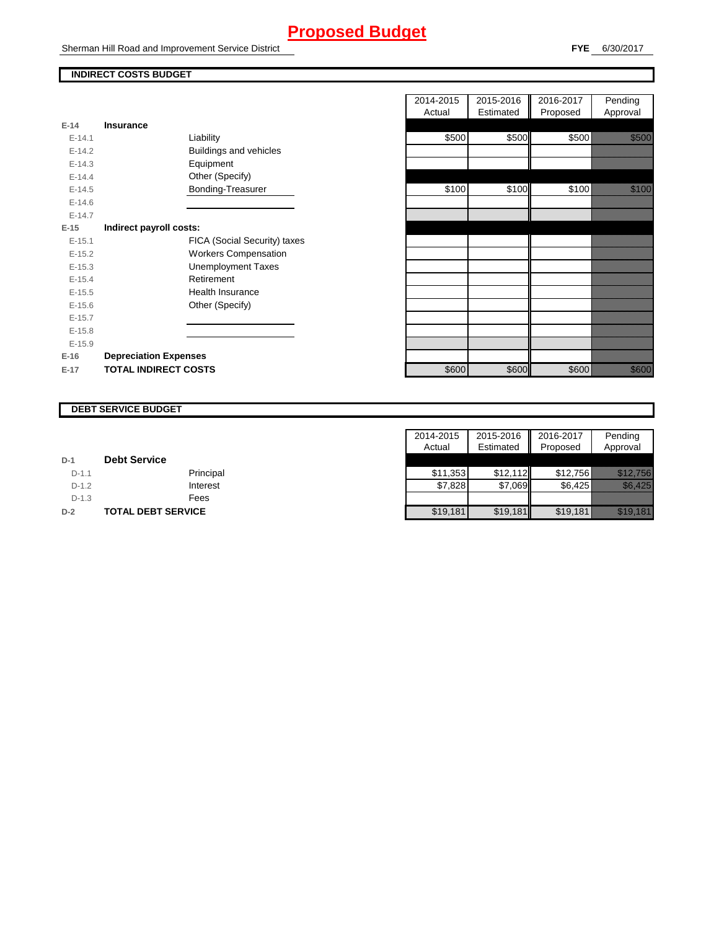### **Proposed Budget**

Sherman Hill Road and Improvement Service District

### **INDIRECT COSTS BUDGET**

|          |                              |       |       | .     | . .          |
|----------|------------------------------|-------|-------|-------|--------------|
| $E-14$   | <b>Insurance</b>             |       |       |       |              |
| $E-14.1$ | Liability                    | \$500 | \$500 | \$500 | <u>ti ka</u> |
| $E-14.2$ | Buildings and vehicles       |       |       |       |              |
| $E-14.3$ | Equipment                    |       |       |       |              |
| $E-14.4$ | Other (Specify)              |       |       |       |              |
| $E-14.5$ | Bonding-Treasurer            | \$100 | \$100 | \$100 | <u>ti ka</u> |
| $E-14.6$ |                              |       |       |       |              |
| $E-14.7$ |                              |       |       |       |              |
| $E-15$   | Indirect payroll costs:      |       |       |       |              |
| $E-15.1$ | FICA (Social Security) taxes |       |       |       |              |
| $E-15.2$ | <b>Workers Compensation</b>  |       |       |       |              |
| $E-15.3$ | <b>Unemployment Taxes</b>    |       |       |       |              |
| $E-15.4$ | Retirement                   |       |       |       |              |
| $E-15.5$ | <b>Health Insurance</b>      |       |       |       |              |
| $E-15.6$ | Other (Specify)              |       |       |       |              |
| $E-15.7$ |                              |       |       |       |              |
| $E-15.8$ |                              |       |       |       |              |
| $E-15.9$ |                              |       |       |       |              |
| $E-16$   | <b>Depreciation Expenses</b> |       |       |       |              |
| $E-17$   | <b>TOTAL INDIRECT COSTS</b>  | \$600 | \$600 | \$600 | <u>ti ka</u> |

|          |                              | 2014-2015 | 2015-2016 | 2016-2017 | Pending           |
|----------|------------------------------|-----------|-----------|-----------|-------------------|
|          |                              | Actual    | Estimated | Proposed  | Approval          |
| 14       | <b>Insurance</b>             |           |           |           |                   |
| $E-14.1$ | Liability                    | \$500     | \$500     | \$500     | <u> Karlin Sa</u> |
| $E-14.2$ | Buildings and vehicles       |           |           |           |                   |
| $E-14.3$ | Equipment                    |           |           |           |                   |
| $E-14.4$ | Other (Specify)              |           |           |           |                   |
| $E-14.5$ | Bonding-Treasurer            | \$100     | \$100     | \$100     | <u>ti ka</u>      |
| $E-14.6$ |                              |           |           |           |                   |
| $E-14.7$ |                              |           |           |           |                   |
| 15       | Indirect payroll costs:      |           |           |           |                   |
| $E-15.1$ | FICA (Social Security) taxes |           |           |           |                   |
| $E-15.2$ | <b>Workers Compensation</b>  |           |           |           |                   |
| $E-15.3$ | <b>Unemployment Taxes</b>    |           |           |           |                   |
| $E-15.4$ | Retirement                   |           |           |           |                   |
| $E-15.5$ | Health Insurance             |           |           |           |                   |
| $E-15.6$ | Other (Specify)              |           |           |           |                   |
| $E-15.7$ |                              |           |           |           |                   |
| $E-15.8$ |                              |           |           |           |                   |
| $E-15.9$ |                              |           |           |           |                   |
| 16       | <b>Depreciation Expenses</b> |           |           |           |                   |
| 17       | <b>TOTAL INDIRECT COSTS</b>  | \$600     | \$600     | \$600     | <u>ti ka</u>      |

### **DEBT SERVICE BUDGET**

|         |                           | 2014-2015 | 2015-2016 2016-2017 |          | Pending                     |
|---------|---------------------------|-----------|---------------------|----------|-----------------------------|
|         |                           | Actual    | Estimated           | Proposed | Approval                    |
| $D-1$   | <b>Debt Service</b>       |           |                     |          |                             |
| $D-1.1$ | Principal                 | \$11.353  | \$12.112            | \$12.756 | <u> Harristan Sarajan (</u> |
| $D-1.2$ | Interest                  | \$7.828   | \$7.069             | \$6.425  | Missier (d. 1999)           |
| $D-1.3$ | Fees                      |           |                     |          |                             |
| $D-2$   | <b>TOTAL DEBT SERVICE</b> | \$19,181  | \$19,181            | \$19,181 | <u> Hillingen i Sta</u>     |